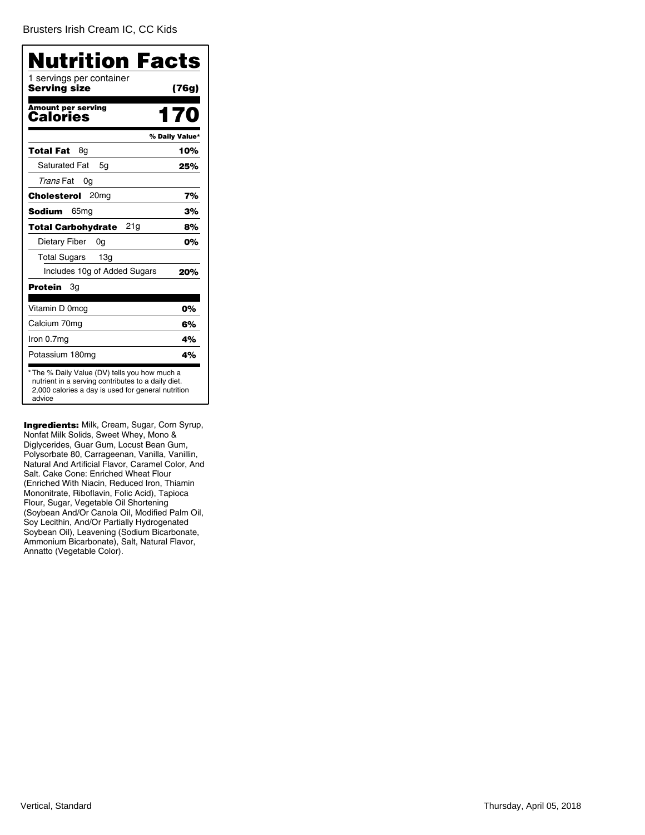[Brusters Irish Cream IC, CC Kids](�)

| <b>Nutrition Facts</b>                                                                                                                                              |                |
|---------------------------------------------------------------------------------------------------------------------------------------------------------------------|----------------|
| 1 servings per container<br>Serving size                                                                                                                            | (76g)          |
| <b>Amount per serving</b><br>Calories                                                                                                                               | 170            |
|                                                                                                                                                                     | % Daily Value* |
| Total Fat<br>8g                                                                                                                                                     | 10%            |
| <b>Saturated Fat</b><br>5q                                                                                                                                          | 25%            |
| Trans Fat<br>0g                                                                                                                                                     |                |
| 20 <sub>mg</sub><br>Cholesterol                                                                                                                                     | 7%             |
| <b>Sodium</b><br>65 <sub>mq</sub>                                                                                                                                   | 3%             |
| 21g<br>Total Carbohydrate                                                                                                                                           | 8%             |
| Dietary Fiber<br>0g                                                                                                                                                 | 0%             |
| <b>Total Sugars</b><br>13q                                                                                                                                          |                |
| Includes 10g of Added Sugars                                                                                                                                        | 20%            |
| Protein<br>Зg                                                                                                                                                       |                |
| Vitamin D 0mcg                                                                                                                                                      | 0%             |
| Calcium 70mg                                                                                                                                                        | 6%             |
| Iron 0.7mg                                                                                                                                                          | 4%             |
| Potassium 180mg                                                                                                                                                     | 4%             |
| * The % Daily Value (DV) tells you how much a<br>nutrient in a serving contributes to a daily diet.<br>2,000 calories a day is used for general nutrition<br>advice |                |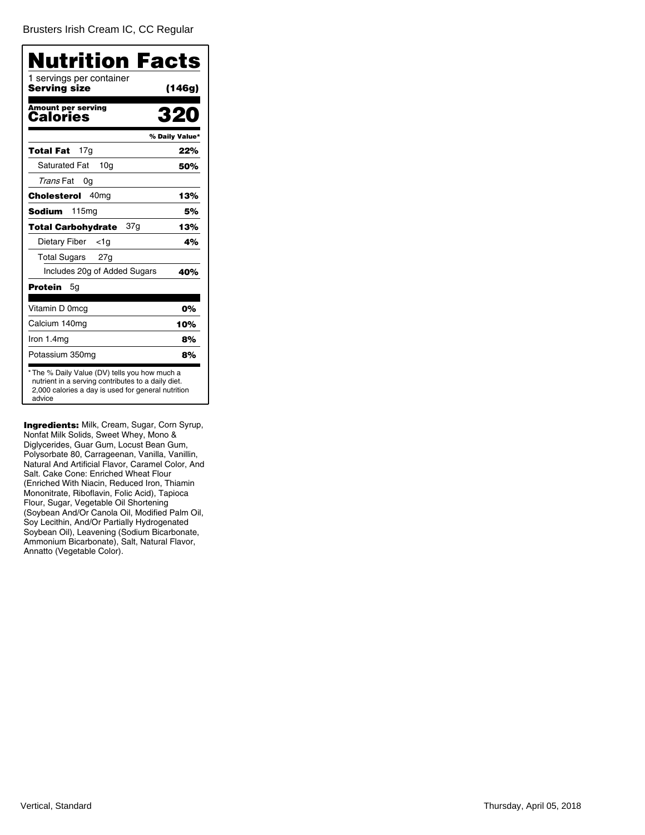[Brusters Irish Cream IC, CC Regular](�)

| Nutrition Facts                          |                |
|------------------------------------------|----------------|
| 1 servings per container<br>Serving size | (146g)         |
| Amount per serving<br>Calories           | 320            |
|                                          | % Daily Value* |
| 17g<br>Total Fat                         | 22%            |
| <b>Saturated Fat</b><br>10a              | 50%            |
| Trans Fat<br>0g                          |                |
| 40 <sub>mq</sub><br>Cholesterol          | 13%            |
| Sodium<br>115mg                          | 5%             |
| 37g<br><b>Total Carbohydrate</b>         | 13%            |
| Dietary Fiber<br><1g                     | 4%             |
| Total Sugars<br>27 <sub>q</sub>          |                |
| Includes 20g of Added Sugars             | 40%            |
| Protein<br>5g                            |                |
| Vitamin D 0mcg                           | 0%             |
| Calcium 140mg                            | 10%            |
| Iron $1.4mg$                             | 8%             |
| Potassium 350mg                          | 8%             |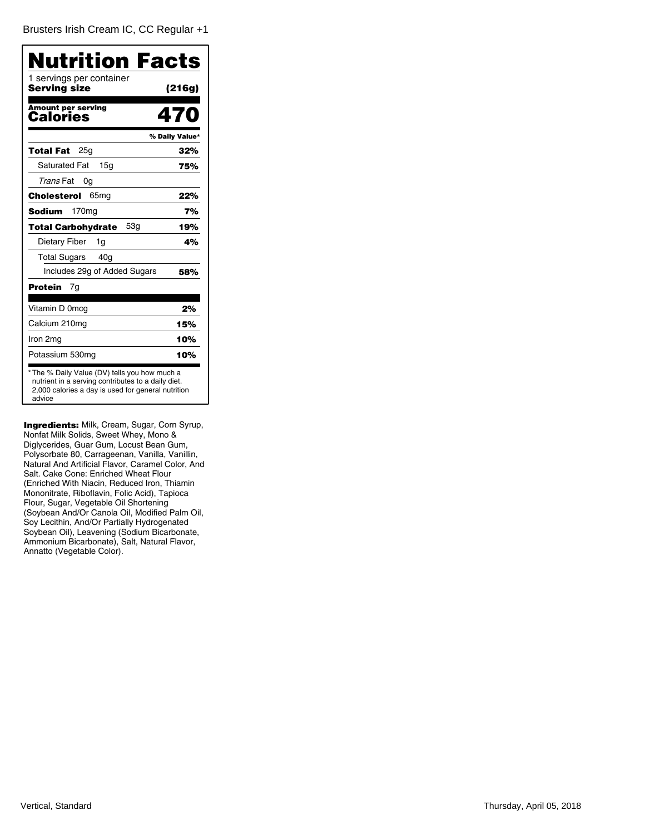| Nutrition Facts                          |                |
|------------------------------------------|----------------|
| 1 servings per container<br>Serving size | (216g)         |
| <b>Amount per serving</b><br>Calories    | 470            |
|                                          | % Daily Value* |
| 25g<br>Total Fat                         | 32%            |
| <b>Saturated Fat</b><br>15 <sub>q</sub>  | 75%            |
| Trans Fat<br>0g                          |                |
| 65 <sub>mg</sub><br>Cholesterol          | 22%            |
| <b>Sodium</b><br>170 <sub>mg</sub>       | 7%             |
| 53a<br><b>Total Carbohydrate</b>         | 19%            |
| Dietary Fiber<br>1g                      | 4%             |
| <b>Total Sugars</b><br>40 <sub>g</sub>   |                |
| Includes 29g of Added Sugars             | 58%            |
| Protein<br>7g                            |                |
| Vitamin D 0mcg                           | 2%             |
| Calcium 210mg                            | 15%            |
| Iron 2mg                                 | 10%            |
| Potassium 530mg                          | 10%            |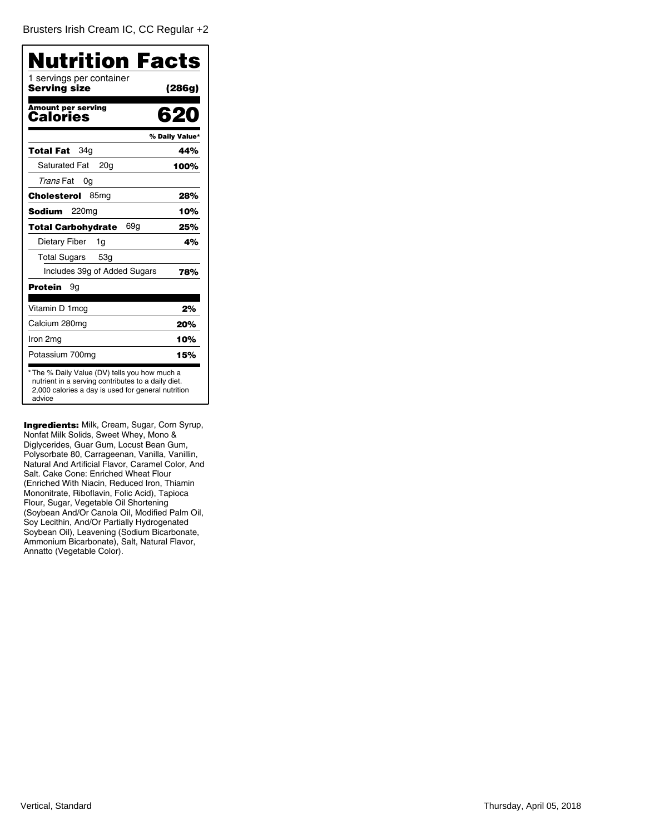| 1 servings per container<br><b>Serving size</b> | Nutrition Facts<br>(286g) |
|-------------------------------------------------|---------------------------|
|                                                 |                           |
| <b>Amount per serving</b><br>Calories           | 620                       |
|                                                 | % Daily Value*            |
| 34a<br><b>Total Fat</b>                         | 44%                       |
| <b>Saturated Fat</b><br>20 <sub>g</sub>         | 100%                      |
| Trans Fat<br>0g                                 |                           |
| Cholesterol<br>85 <sub>mg</sub>                 | 28%                       |
| 220 <sub>mg</sub><br>Sodium                     | 10%                       |
| 69a<br><b>Total Carbohydrate</b>                | 25%                       |
| Dietary Fiber<br>1g                             | 4%                        |
| Total Sugars<br>53q                             |                           |
| Includes 39g of Added Sugars                    | 78%                       |
| Protein<br>9g                                   |                           |
| Vitamin D 1 mcg                                 | 2%                        |
| Calcium 280mg                                   | 20%                       |
| Iron 2mg                                        | 10%                       |
| Potassium 700mg                                 | 15%                       |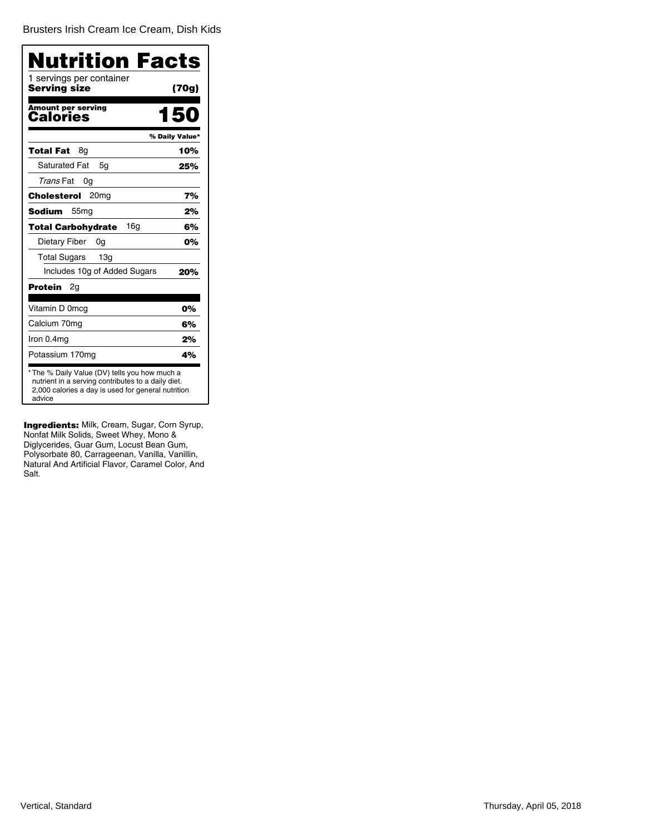[Brusters Irish Cream Ice Cream, Dish Kids](�)

| (70g)<br>150<br>% Daily Value*<br>10%<br>25%                                                        |
|-----------------------------------------------------------------------------------------------------|
|                                                                                                     |
|                                                                                                     |
|                                                                                                     |
|                                                                                                     |
|                                                                                                     |
|                                                                                                     |
| 7%                                                                                                  |
| 2%                                                                                                  |
| 6%                                                                                                  |
| 0%                                                                                                  |
|                                                                                                     |
| 20%                                                                                                 |
|                                                                                                     |
| 0%                                                                                                  |
| 6%                                                                                                  |
| 2%                                                                                                  |
| 4%                                                                                                  |
| * The % Daily Value (DV) tells you how much a<br>nutrient in a serving contributes to a daily diet. |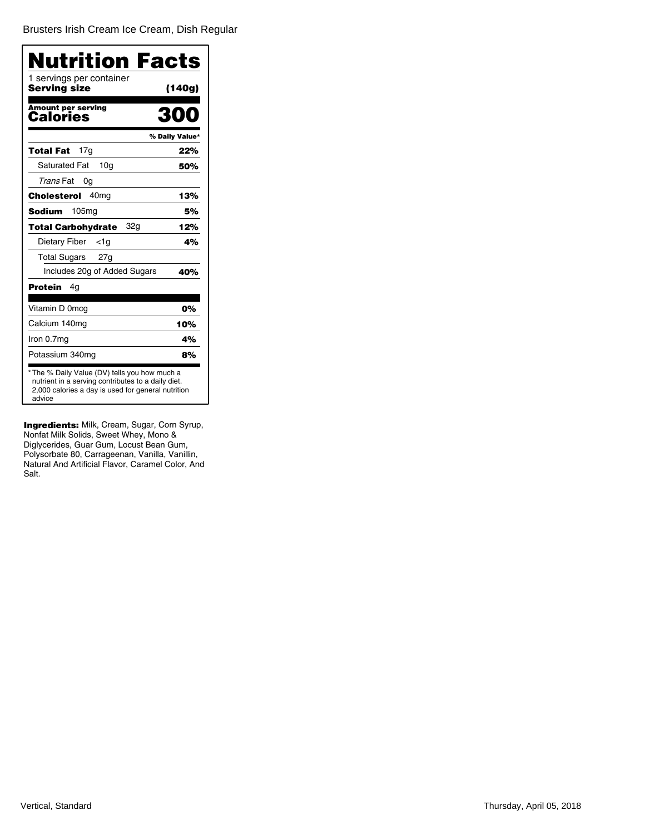[Brusters Irish Cream Ice Cream, Dish Regular](�)

| Nutrition Facts<br>1 servings per container |                |
|---------------------------------------------|----------------|
| <b>Serving size</b>                         | (140g)         |
| <b>Amount per serving</b><br>Calories       | 31             |
|                                             | % Daily Value* |
| 17q<br>Total Fat                            | 22%            |
| <b>Saturated Fat</b><br>10 <sub>q</sub>     | 50%            |
| Trans Fat<br>0g                             |                |
| 40 <sub>mg</sub><br>Cholesterol             | 13%            |
| 105 <sub>mg</sub><br>Sodium                 | 5%             |
| 32g<br><b>Total Carbohydrate</b>            | 12%            |
| Dietary Fiber<br><1g                        | 4%             |
| Total Sugars 27g                            |                |
| Includes 20g of Added Sugars                | 40%            |
| Protein<br>4g                               |                |
| Vitamin D 0mcg                              | 0%             |
| Calcium 140mg                               | 10%            |
| Iron 0.7mg                                  | 4%             |
| Potassium 340mg                             | 8%             |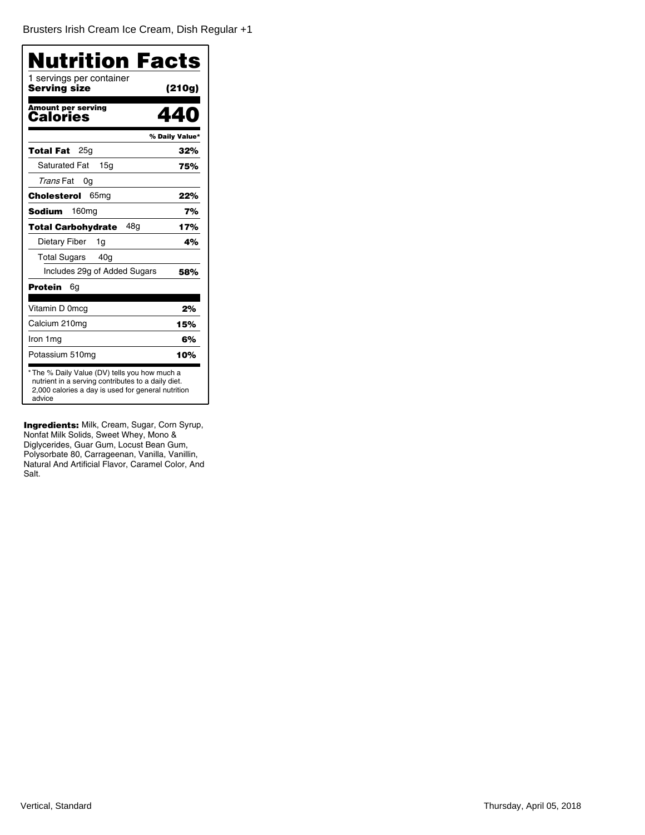[Brusters Irish Cream Ice Cream, Dish Regular +1](�)

| Nutrition Facts                                                                                                                                                     |                |
|---------------------------------------------------------------------------------------------------------------------------------------------------------------------|----------------|
| 1 servings per container<br>Servina size                                                                                                                            | (210g)         |
| <b>Amount per serving</b><br>Calories                                                                                                                               | 440            |
|                                                                                                                                                                     | % Daily Value* |
| 25g<br>Total Fat                                                                                                                                                    | 32%            |
| <b>Saturated Fat</b><br>15 <sub>q</sub>                                                                                                                             | 75%            |
| Trans Fat<br>0g                                                                                                                                                     |                |
| 65 <sub>mg</sub><br>Cholesterol                                                                                                                                     | 22%            |
| Sodium<br>160ma                                                                                                                                                     | 7%             |
| 48a<br>Total Carbohydrate                                                                                                                                           | 17%            |
| Dietary Fiber<br>1g                                                                                                                                                 | 4%             |
| Total Sugars<br>40a                                                                                                                                                 |                |
| Includes 29g of Added Sugars                                                                                                                                        | 58%            |
| <b>Protein</b><br>6g                                                                                                                                                |                |
| Vitamin D 0mcg                                                                                                                                                      | 2%             |
| Calcium 210mg                                                                                                                                                       | 15%            |
| Iron 1mg                                                                                                                                                            | 6%             |
| Potassium 510mg                                                                                                                                                     | 10%            |
| * The % Daily Value (DV) tells you how much a<br>nutrient in a serving contributes to a daily diet.<br>2,000 calories a day is used for general nutrition<br>advice |                |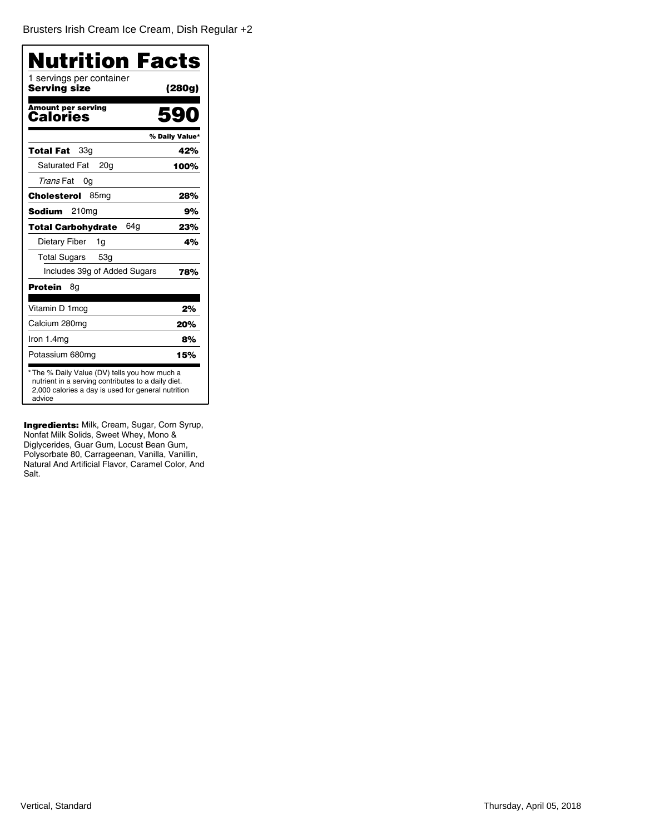[Brusters Irish Cream Ice Cream, Dish Regular +2](�)

| <b>Nutrition Facts</b>                                                                                                                                              |                |
|---------------------------------------------------------------------------------------------------------------------------------------------------------------------|----------------|
| 1 servings per container<br>Serving size                                                                                                                            | (280g)         |
| <b>Amount per serving</b><br>Calories                                                                                                                               | 5q             |
|                                                                                                                                                                     | % Daily Value* |
| <b>Total Fat</b><br>33a                                                                                                                                             | 42%            |
| <b>Saturated Fat</b><br>20 <sub>g</sub>                                                                                                                             | 100%           |
| Trans Fat<br>0g                                                                                                                                                     |                |
| 85 <sub>mq</sub><br>Cholesterol                                                                                                                                     | 28%            |
| Sodium<br>210 <sub>mg</sub>                                                                                                                                         | 9%             |
| 64a<br><b>Total Carbohydrate</b>                                                                                                                                    | 23%            |
| Dietary Fiber<br>1g                                                                                                                                                 | 4%             |
| <b>Total Sugars</b><br>53g                                                                                                                                          |                |
| Includes 39g of Added Sugars                                                                                                                                        | 78%            |
| Protein<br>8g                                                                                                                                                       |                |
| Vitamin D 1mcg                                                                                                                                                      | 2%             |
| Calcium 280mg                                                                                                                                                       | 20%            |
| Iron 1.4mg                                                                                                                                                          | 8%             |
| Potassium 680mg                                                                                                                                                     | 15%            |
| * The % Daily Value (DV) tells you how much a<br>nutrient in a serving contributes to a daily diet.<br>2,000 calories a day is used for general nutrition<br>advice |                |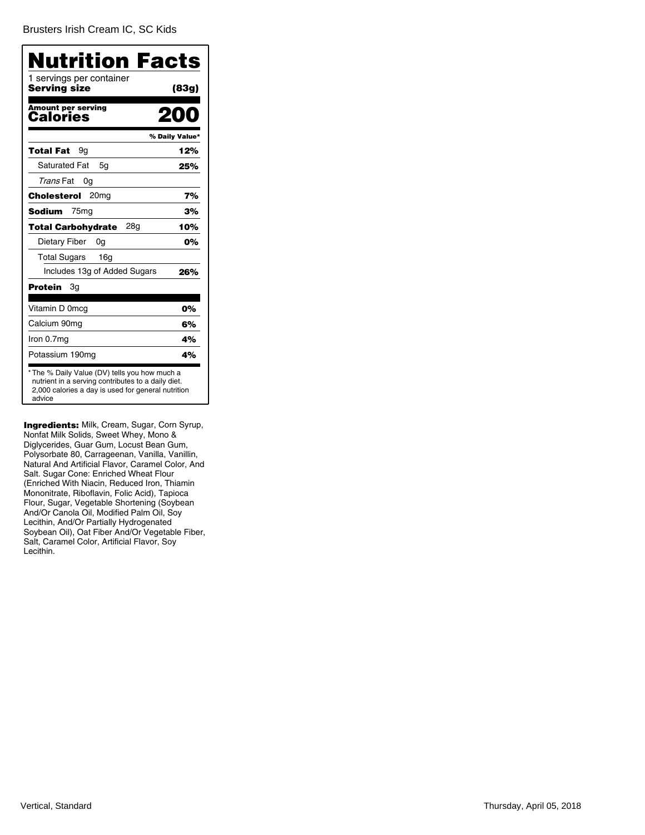[Brusters Irish Cream IC, SC Kids](�)

| Nutrition Facts                                                                                                                                                     |                |
|---------------------------------------------------------------------------------------------------------------------------------------------------------------------|----------------|
| 1 servings per container<br>Serving size                                                                                                                            | (83g)          |
| <b>Amount per serving</b><br>Calories                                                                                                                               | 200            |
|                                                                                                                                                                     | % Daily Value* |
| Total Fat<br>9g                                                                                                                                                     | 12%            |
| <b>Saturated Fat</b><br>5q                                                                                                                                          | 25%            |
| Trans Fat<br>0g                                                                                                                                                     |                |
| 20 <sub>mg</sub><br>Cholesterol                                                                                                                                     | 7%             |
| <b>Sodium</b><br>75 <sub>mg</sub>                                                                                                                                   | 3%             |
| 28g<br><b>Total Carbohydrate</b>                                                                                                                                    | 10%            |
| Dietary Fiber<br>0g                                                                                                                                                 | 0%             |
| <b>Total Sugars</b><br>16 <sub>q</sub>                                                                                                                              |                |
| Includes 13g of Added Sugars                                                                                                                                        | 26%            |
| Protein<br>Зg                                                                                                                                                       |                |
| Vitamin D 0mcg                                                                                                                                                      | 0%             |
| Calcium 90mg                                                                                                                                                        | 6%             |
| Iron 0.7mg                                                                                                                                                          | 4%             |
| Potassium 190mg                                                                                                                                                     | 4%             |
| * The % Daily Value (DV) tells you how much a<br>nutrient in a serving contributes to a daily diet.<br>2,000 calories a day is used for general nutrition<br>advice |                |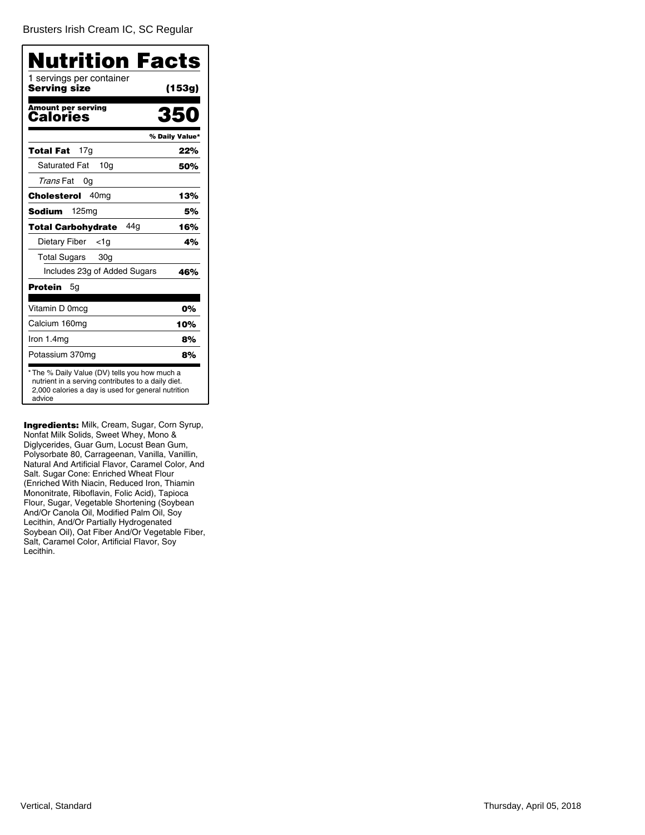[Brusters Irish Cream IC, SC Regular](�)

| Nutrition Facts<br>1 servings per container<br>Serving size | (153g)         |
|-------------------------------------------------------------|----------------|
| <b>Amount per serving</b><br>Calories                       | 350            |
|                                                             | % Daily Value* |
| 17 <sub>q</sub><br>Total Fat                                | 22%            |
| <b>Saturated Fat</b><br>10 <sub>q</sub>                     | 50%            |
| Trans Fat<br>0g                                             |                |
| 40 <sub>mg</sub><br>Cholesterol                             | 13%            |
| <b>Sodium</b><br>125 <sub>mq</sub>                          | 5%             |
| 44a<br><b>Total Carbohvdrate</b>                            | 16%            |
| Dietary Fiber<br><1a                                        | 4%             |
| <b>Total Sugars</b><br>30 <sub>q</sub>                      |                |
| Includes 23g of Added Sugars                                | 46%            |
| Protein<br>5g                                               |                |
| Vitamin D 0mcg                                              | 0%             |
| Calcium 160mg                                               | 10%            |
| Iron 1.4mg                                                  | 8%             |
| Potassium 370mg                                             | 8%             |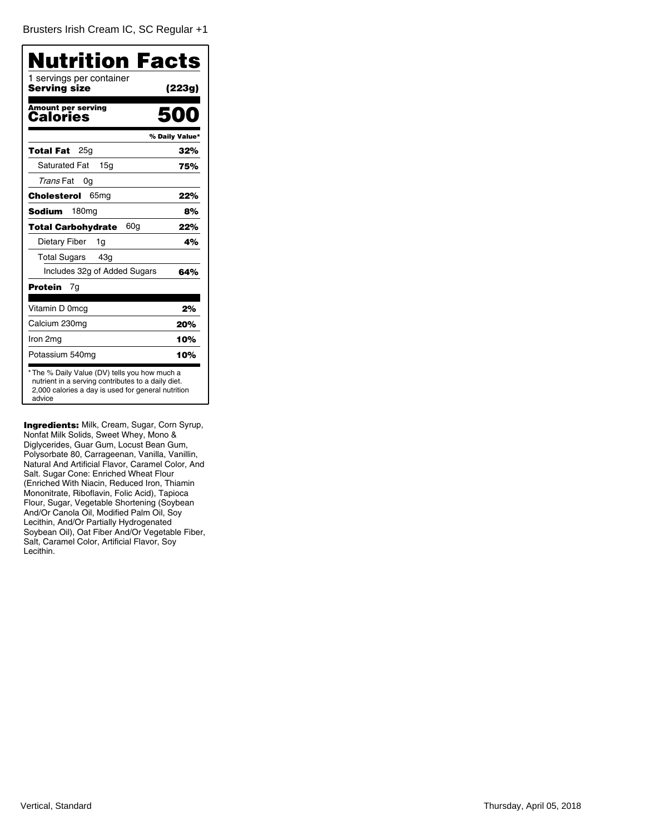| 1 servings per container<br>Serving size | (223g)         |
|------------------------------------------|----------------|
| <b>Amount per serving</b><br>Calories    | Г,             |
|                                          | % Daily Value* |
| 25a<br>Total Fat                         | 32%            |
| <b>Saturated Fat</b><br>15 <sub>q</sub>  | 75%            |
| Trans Fat<br>0g                          |                |
| Cholesterol<br>65 <sub>mg</sub>          | 22%            |
| <b>Sodium</b><br>180mg                   | 8%             |
| 60g<br><b>Total Carbohydrate</b>         | 22%            |
| Dietary Fiber<br>1q                      | 4%             |
| <b>Total Sugars</b><br>43 <sub>q</sub>   |                |
| Includes 32g of Added Sugars             | 64%            |
| Protein<br>7g                            |                |
| Vitamin D 0mcg                           | 2%             |
| Calcium 230mg                            | 20%            |
| Iron 2mg                                 | 10%            |
| Potassium 540mg                          | 10%            |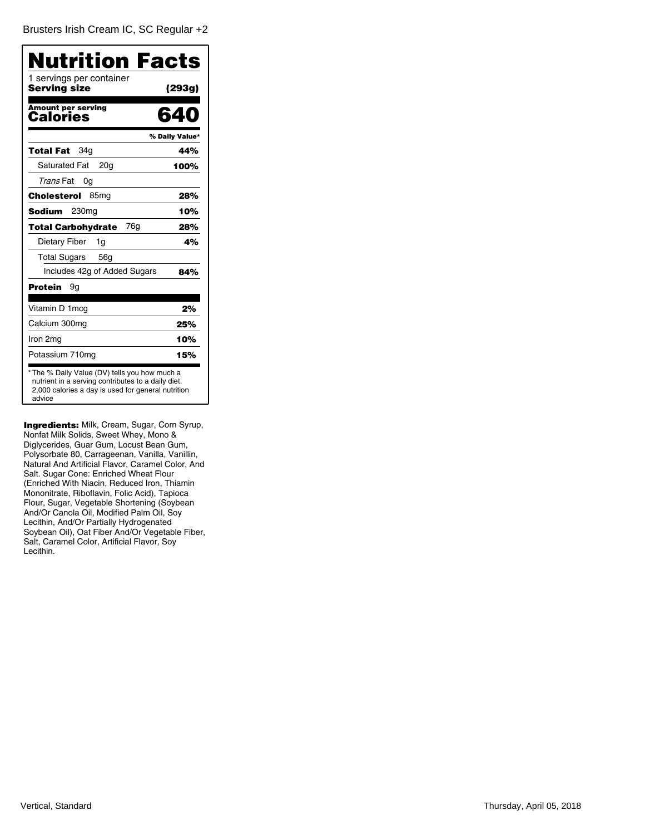| Nutrition Facts<br>1 servings per container                                                                                                                         |                |
|---------------------------------------------------------------------------------------------------------------------------------------------------------------------|----------------|
| Serving size                                                                                                                                                        | (293g)         |
| <b>Amount per serving</b><br>Calories                                                                                                                               | 640            |
|                                                                                                                                                                     | % Daily Value* |
| 34a<br>Total Fat                                                                                                                                                    | 44%            |
| <b>Saturated Fat</b><br>20 <sub>g</sub>                                                                                                                             | 100%           |
| Trans Fat<br>0g                                                                                                                                                     |                |
| Cholesterol<br>85 <sub>mg</sub>                                                                                                                                     | 28%            |
| Sodium<br>230mg                                                                                                                                                     | 10%            |
| 76g<br>Total Carbohydrate                                                                                                                                           | 28%            |
| Dietary Fiber<br>1g                                                                                                                                                 | 4%             |
| Total Sugars<br>56 <sub>q</sub>                                                                                                                                     |                |
| Includes 42g of Added Sugars                                                                                                                                        | 84%            |
| Protein<br>9g                                                                                                                                                       |                |
| Vitamin D 1 mcg                                                                                                                                                     | 2%             |
| Calcium 300mg                                                                                                                                                       | 25%            |
| Iron 2mg                                                                                                                                                            | 10%            |
| Potassium 710mg                                                                                                                                                     | 15%            |
| * The % Daily Value (DV) tells you how much a<br>nutrient in a serving contributes to a daily diet.<br>2,000 calories a day is used for general nutrition<br>advice |                |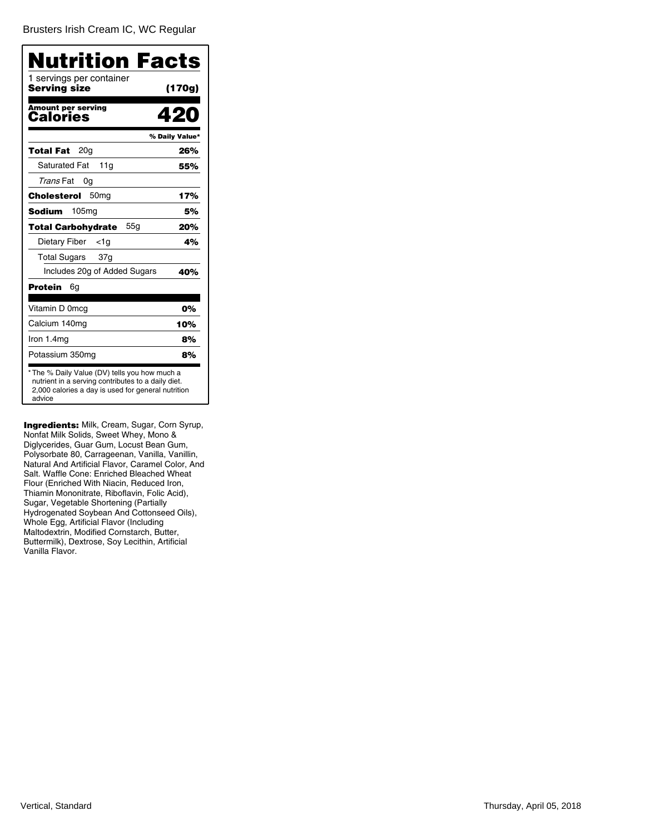[Brusters Irish Cream IC, WC Regular](�)

| Nutrition Facts                          |                |
|------------------------------------------|----------------|
| 1 servings per container<br>Serving size | (170g)         |
| <b>Amount per serving</b><br>Calories    | 420            |
|                                          | % Daily Value* |
| 20 <sub>g</sub><br>Total Fat             | 26%            |
| <b>Saturated Fat</b><br>11a              | 55%            |
| Trans Fat<br>0g                          |                |
| 50 <sub>mg</sub><br>Cholesterol          | 17%            |
| <b>Sodium</b><br>105 <sub>mg</sub>       | 5%             |
| 55q<br>Total Carbohydrate                | 20%            |
| Dietary Fiber<br><1a                     | 4%             |
| Total Sugars<br>37g                      |                |
| Includes 20g of Added Sugars             | 40%            |
| Protein<br>6g                            |                |
| Vitamin D 0mcg                           | 0%             |
| Calcium 140mg                            | 10%            |
| Iron $1.4mg$                             | 8%             |
| Potassium 350mg                          | 8%             |

Ingredients: Milk, Cream, Sugar, Corn Syrup, Nonfat Milk Solids, Sweet Whey, Mono & Diglycerides, Guar Gum, Locust Bean Gum, Polysorbate 80, Carrageenan, Vanilla, Vanillin, Natural And Artificial Flavor, Caramel Color, And Salt. Waffle Cone: Enriched Bleached Wheat Flour (Enriched With Niacin, Reduced Iron, Thiamin Mononitrate, Riboflavin, Folic Acid), Sugar, Vegetable Shortening (Partially Hydrogenated Soybean And Cottonseed Oils), Whole Egg, Artificial Flavor (Including Maltodextrin, Modified Cornstarch, Butter, Buttermilk), Dextrose, Soy Lecithin, Artificial Vanilla Flavor.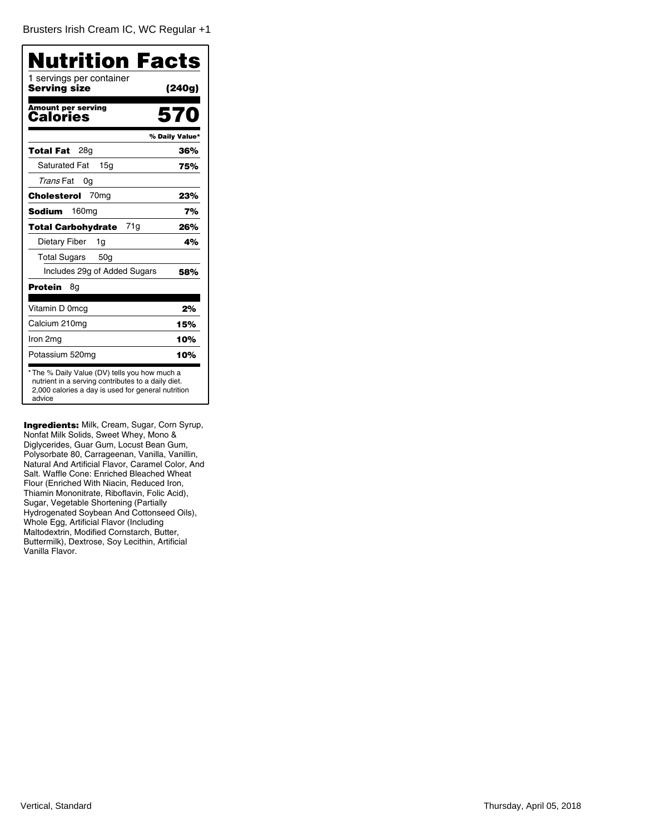[Brusters Irish Cream IC, WC Regular +1](�)

| Nutrition Facts                                                                                                                                                     |                |
|---------------------------------------------------------------------------------------------------------------------------------------------------------------------|----------------|
| 1 servings per container<br>Serving size                                                                                                                            | (240g)         |
| <b>Amount per serving</b><br>Calories                                                                                                                               | 570            |
|                                                                                                                                                                     | % Daily Value* |
| Total Fat<br>28a                                                                                                                                                    | 36%            |
| <b>Saturated Fat</b><br>15 <sub>q</sub>                                                                                                                             | 75%            |
| Trans Fat<br>0g                                                                                                                                                     |                |
| 70 <sub>mq</sub><br>Cholesterol                                                                                                                                     | 23%            |
| 160 <sub>mg</sub><br><b>Sodium</b>                                                                                                                                  | 7%             |
| 71g<br><b>Total Carbohydrate</b>                                                                                                                                    | 26%            |
| Dietary Fiber<br>1g                                                                                                                                                 | 4%             |
| <b>Total Sugars</b><br>50 <sub>q</sub>                                                                                                                              |                |
| Includes 29g of Added Sugars                                                                                                                                        | 58%            |
| Protein<br>8g                                                                                                                                                       |                |
| Vitamin D 0mcg                                                                                                                                                      | 2%             |
| Calcium 210mg                                                                                                                                                       | 15%            |
| Iron 2mg                                                                                                                                                            | 10%            |
| Potassium 520mg                                                                                                                                                     | 10%            |
| * The % Daily Value (DV) tells you how much a<br>nutrient in a serving contributes to a daily diet.<br>2,000 calories a day is used for general nutrition<br>advice |                |

Ingredients: Milk, Cream, Sugar, Corn Syrup, Nonfat Milk Solids, Sweet Whey, Mono & Diglycerides, Guar Gum, Locust Bean Gum, Polysorbate 80, Carrageenan, Vanilla, Vanillin, Natural And Artificial Flavor, Caramel Color, And Salt. Waffle Cone: Enriched Bleached Wheat Flour (Enriched With Niacin, Reduced Iron, Thiamin Mononitrate, Riboflavin, Folic Acid), Sugar, Vegetable Shortening (Partially Hydrogenated Soybean And Cottonseed Oils), Whole Egg, Artificial Flavor (Including Maltodextrin, Modified Cornstarch, Butter, Buttermilk), Dextrose, Soy Lecithin, Artificial Vanilla Flavor.